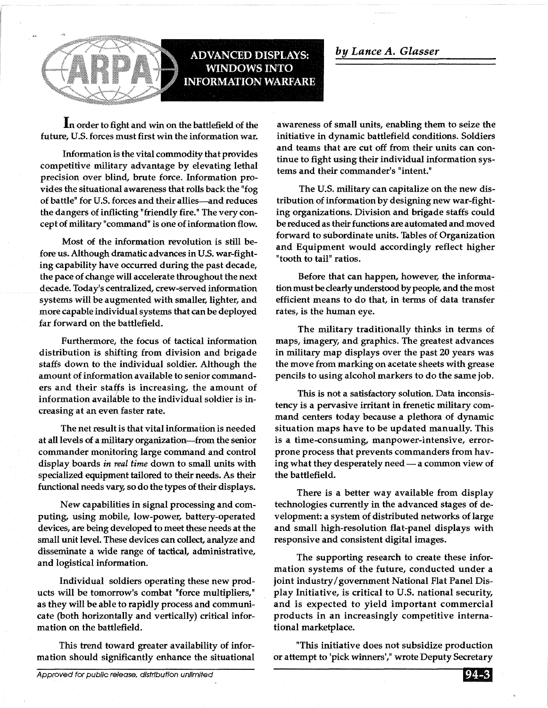

**In** order to fight and win on the battlefield of the future, U.S. forces must first win the information war.

**ADVANCED DISPLAYS: WINDOWS INTO INFORMATION WARFARE** 

Information is the vital commodity that provides competitive military advantage by elevating lethal precision over blind, brute force. Information provides the situational awareness that rolls back the "fog of battle" for U.S. forces and their allies-and reduces the dangers of inflicting "friendly fire." The very concept of military "command" is one of information flow.

Most of the information revolution is still before us. Although dramatic advances in U.S. war-fighting capability have occurred during the past decade, the pace of change will accelerate throughout the next decade. Today's centralized, crew-served information systems will be augmented with smaller, lighter, and more capable individual systems that can be deployed far forward on the battlefield.

Furthermore, the focus of tactical information distribution is shifting from division and brigade staffs down to the individual soldier. Although the amount of information available to senior commanders and their staffs is increasing, the amount of information available to the individual soldier is increasing at an even faster rate.

The net result is that vital information is needed at all levels of a military organization-from the senior commander monitoring large command and control display boards *in real time* down to small units with specialized equipment tailored to their needs. As their functional needs vary; so do the types of their displays.

New capabilities in signal processing and computing, using mobile, low-power, battery-operated devices, are being developed to meet these needs at the small unit level. These devices can collect, analyze and disseminate a wide range of tactical, administrative, and logistical information.

Individual soldiers operating these new products will be tomorrow's combat "force multipliers," as they will be able to rapidly process and communicate (both horizontally and vertically) critical information on the battlefield.

This trend toward greater availability of information should significantly enhance the situational awareness of small units, enabling them to seize the initiative in dynamic battlefield conditions. Soldiers and teams that are cut off from their units can continue to fight using their individual information systems and their commander's "intent."

The U.S. military can capitalize on the new distribution of information by designing new war-fighting organizations. Division and brigade staffs could be reduced as their functions are automated and moved forward to subordinate units. Tables of Organization and Equipment would accordingly reflect higher "tooth to tail" ratios.

Before that can happen, however, the information must be clearly understood by people, and the most efficient means to do that, in terms of data transfer rates, is the human eye.

The military traditionally thinks in terms of maps, imagery, and graphics. The greatest advances in military map displays over the past 20 years was the move from marking on acetate sheets with grease pencils to using alcohol markers to do the same job.

This is not a satisfactory solution. Data inconsistency is a pervasive irritant in frenetic military command centers today because a plethora of dynamic situation maps have to be updated manually. This is a time-consuming, manpower-intensive, errorprone process that prevents commanders from having what they desperately need - a common view of the battlefield.

There is a better way available from display technologies currently in the advanced stages of development: a system of distributed networks of large and small high-resolution flat-panel displays with responsive and consistent digital images.

The supporting research to create these information systems of the future, conducted under a joint industry/government National Flat Panel Display Initiative, is critical to U.S. national security, and is expected to yield important commercial products in an increasingly competitive international marketplace.

"This initiative does not subsidize production or attempt to 'pick winners'," wrote Deputy Secretary